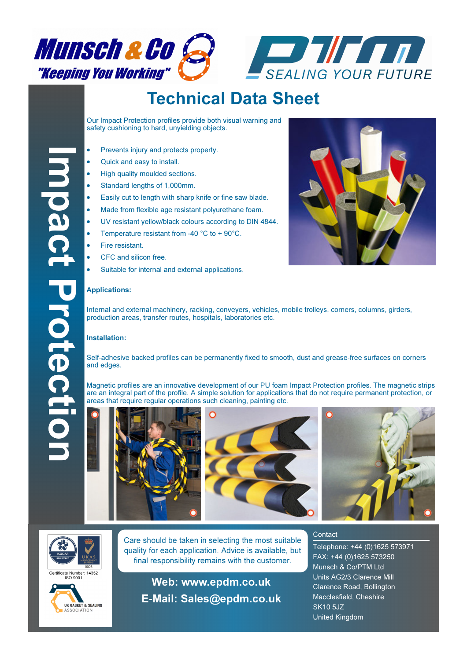



# Technical Data Sheet

Our Impact Protection profiles provide both visual warning and safety cushioning to hard, unyielding objects.

- Prevents injury and protects property.
- Quick and easy to install.
- High quality moulded sections.
- Standard lengths of 1,000mm.
- Easily cut to length with sharp knife or fine saw blade.
- Made from flexible age resistant polyurethane foam.
- UV resistant yellow/black colours according to DIN 4844.
- Temperature resistant from -40 °C to + 90°C.
- Fire resistant.
- CFC and silicon free.
- Suitable for internal and external applications.



#### Applications:

Internal and external machinery, racking, conveyers, vehicles, mobile trolleys, corners, columns, girders, production areas, transfer routes, hospitals, laboratories etc.

#### Installation:

Self-adhesive backed profiles can be permanently fixed to smooth, dust and grease-free surfaces on corners and edges.

Magnetic profiles are an innovative development of our PU foam Impact Protection profiles. The magnetic strips are an integral part of the profile. A simple solution for applications that do not require permanent protection, or areas that require regular operations such cleaning, painting etc.











ertificate Number: 14352



Care should be taken in selecting the most suitable quality for each application. Advice is available, but final responsibility remains with the customer.

Web: www.epdm.co.uk E**-**Mail: Sales@epdm.co.uk

#### **Contact**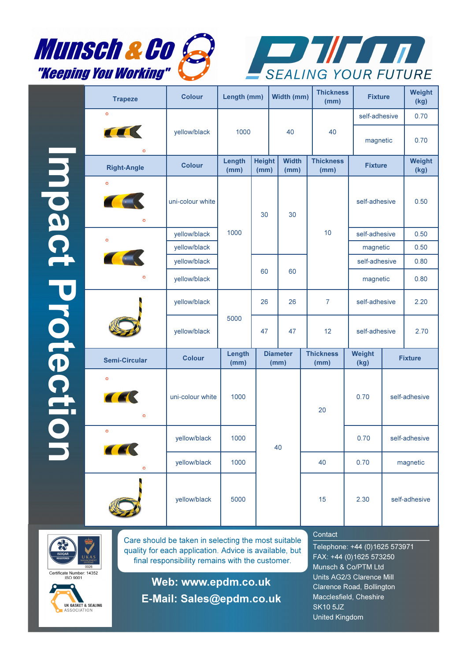



Impact Protection Impact Protection

| <b>Trapeze</b>                          | <b>Colour</b>    | Length (mm)                             |    | Width (mm)              |                      |                          | <b>Thickness</b><br>(mm) |                | <b>Fixture</b> |                |
|-----------------------------------------|------------------|-----------------------------------------|----|-------------------------|----------------------|--------------------------|--------------------------|----------------|----------------|----------------|
| $\circ$                                 |                  |                                         |    |                         |                      |                          |                          |                | self-adhesive  |                |
| <b>TELESCOPE</b><br>$\circ$             | yellow/black     | 1000                                    |    | 40                      |                      |                          | 40                       |                | magnetic       |                |
| <b>Right-Angle</b>                      | <b>Colour</b>    | Length<br><b>Height</b><br>(mm)<br>(mm) |    |                         | <b>Width</b><br>(mm) |                          | <b>Thickness</b><br>(mm) |                | <b>Fixture</b> |                |
| $\circ$<br><b>CONTRACTOR</b><br>$\circ$ | uni-colour white |                                         | 30 |                         | 30                   |                          |                          |                | self-adhesive  |                |
| $\circ$                                 | yellow/black     | 1000                                    |    |                         |                      |                          | 10                       | self-adhesive  |                | 0.50           |
|                                         | yellow/black     |                                         |    |                         |                      |                          |                          |                | magnetic       |                |
| <b>CONTRACTOR</b>                       | yellow/black     |                                         |    |                         |                      |                          |                          |                | self-adhesive  |                |
| $\circ$                                 | yellow/black     |                                         | 60 |                         | 60                   |                          |                          | magnetic       |                | 0.80           |
|                                         | yellow/black     |                                         | 26 |                         | 26                   |                          | $\overline{7}$           | self-adhesive  |                | 2.20           |
|                                         | yellow/black     | 5000                                    | 47 | 47                      |                      |                          | 12                       | self-adhesive  |                | 2.70           |
| <b>Semi-Circular</b>                    | <b>Colour</b>    | Length<br>(mm)                          |    | <b>Diameter</b><br>(mm) |                      | <b>Thickness</b><br>(mm) |                          | Weight<br>(kg) |                | <b>Fixture</b> |
| $\circ$<br><b>CEL</b><br>$\circ$        | uni-colour white | 1000                                    |    |                         | 40                   |                          | 20                       | 0.70           | self-adhesive  |                |
| $\circ$<br>KK                           | yellow/black     | 1000                                    |    |                         |                      |                          |                          | 0.70           | self-adhesive  |                |
| $\circ$                                 | yellow/black     | 1000                                    |    |                         |                      |                          | 40                       | 0.70           |                | magnetic       |
|                                         | yellow/black     | 5000                                    |    |                         |                      |                          | 15                       | 2.30           | self-adhesive  |                |



UK GASKET & SEALING ASSOCIATION

Care should be taken in selecting the most suitable quality for each application. Advice is available, but final responsibility remains with the customer.

Web: www.epdm.co.uk E**-**Mail: Sales@epdm.co.uk

### **Contact**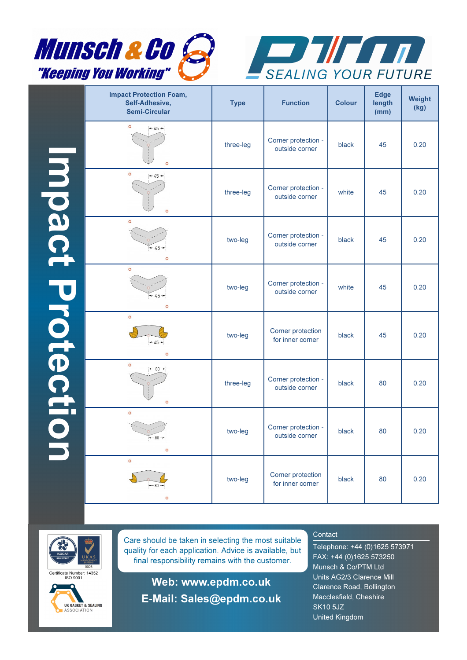



|                 | <b>Impact Protection Foam,</b><br>Self-Adhesive,<br><b>Semi-Circular</b> |           | <b>Function</b>                       | <b>Colour</b> | <b>Edge</b><br>length<br>(mm) | Weight<br>(kg) |  |
|-----------------|--------------------------------------------------------------------------|-----------|---------------------------------------|---------------|-------------------------------|----------------|--|
|                 | $\circ$<br>$+45+$<br>$\circ$                                             | three-leg | Corner protection -<br>outside corner | black         | 45                            | 0.20           |  |
|                 | $\circ$<br>$+45+$<br>$\circ$                                             | three-leg | Corner protection -<br>outside corner | white         | 45                            | 0.20           |  |
| mpact Protectic | $\circ$<br>two-leg<br>$+45+$<br>$\circ$                                  |           | Corner protection -<br>outside corner | 45<br>black   |                               | 0.20           |  |
|                 | $\circ$<br>$+45+$<br>$\circ$                                             |           | Corner protection -<br>outside corner | white         | 45                            | 0.20           |  |
|                 | $\circ$<br>$+45+$<br>$\circ$                                             | two-leg   | Corner protection<br>for inner corner | black         | 45                            | 0.20           |  |
|                 | $\circ$<br>$\leftarrow 80 \rightarrow$<br>$\circ$                        | three-leg | Corner protection -<br>outside corner | black         | 80                            | 0.20           |  |
|                 | $\circ$<br>$+80+$<br>$\circ$                                             | two-leg   | Corner protection -<br>outside corner | black         | 80                            | 0.20           |  |
|                 | $\circ$<br>$+80 +$<br>$\circ$                                            | two-leg   | Corner protection<br>for inner corner | black         | 80                            | 0.20           |  |



Certificate Number: 14352



Care should be taken in selecting the most suitable quality for each application. Advice is available, but final responsibility remains with the customer.

Web: www.epdm.co.uk E**-**Mail: Sales@epdm.co.uk

# **Contact**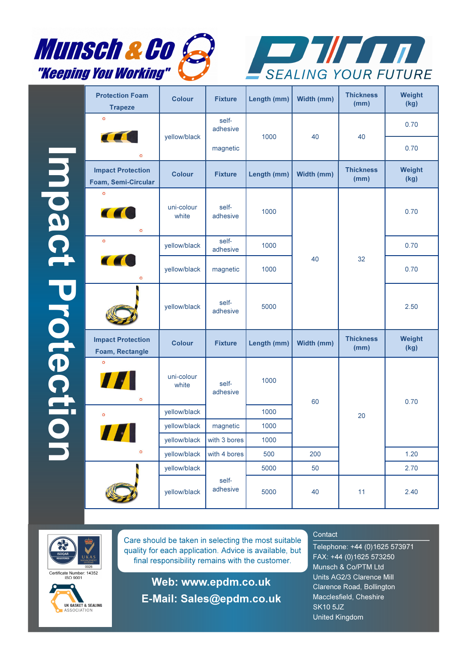



Impact Protection Impact Protection

| <b>Protection Foam</b><br><b>Trapeze</b>               | <b>Colour</b>       | <b>Fixture</b>    | Length (mm) | Width (mm) | <b>Thickness</b><br>(mm) | Weight<br>(kg) |
|--------------------------------------------------------|---------------------|-------------------|-------------|------------|--------------------------|----------------|
| $\circ$<br><b>CELLENT</b>                              | yellow/black        | self-<br>adhesive | 1000        | 40         | 40                       | 0.70           |
| $\circ$                                                |                     | magnetic          |             |            |                          | 0.70           |
| <b>Impact Protection</b><br><b>Foam, Semi-Circular</b> | <b>Colour</b>       | <b>Fixture</b>    | Length (mm) | Width (mm) | <b>Thickness</b><br>(mm) | Weight<br>(kg) |
| $\circ$<br><b>CEC</b><br>$\circ$                       | uni-colour<br>white | self-<br>adhesive | 1000        |            |                          | 0.70           |
| $\circ$                                                | yellow/black        | self-<br>adhesive | 1000        |            |                          | 0.70           |
| <b>CEO</b><br>$\circ$                                  | yellow/black        | magnetic          | 1000        | 40         | 32                       | 0.70           |
|                                                        | yellow/black        | self-<br>adhesive | 5000        |            |                          | 2.50           |
| <b>Impact Protection</b><br>Foam, Rectangle            | <b>Colour</b>       | <b>Fixture</b>    | Length (mm) | Width (mm) | <b>Thickness</b><br>(mm) | Weight<br>(kg) |
| $\circ$<br>77<br>$\circ$                               | uni-colour<br>white | self-<br>adhesive | 1000        | 60         |                          | 0.70           |
| $\circ$                                                | yellow/black        |                   | 1000        |            | 20                       |                |
|                                                        | yellow/black        | magnetic          | 1000        |            |                          |                |
|                                                        | yellow/black        | with 3 bores      | 1000        |            |                          |                |
| $\circ$                                                | yellow/black        | with 4 bores      | 500         | 200        |                          | 1.20           |
|                                                        | yellow/black        |                   | 5000        | 50         |                          | 2.70           |
|                                                        | yellow/black        | self-<br>adhesive | 5000        | 40         | 11                       | 2.40           |



UK GASKET & SEALING ASSOCIATION

Care should be taken in selecting the most suitable quality for each application. Advice is available, but final responsibility remains with the customer.

Web: www.epdm.co.uk

E**-**Mail: Sales@epdm.co.uk

## **Contact**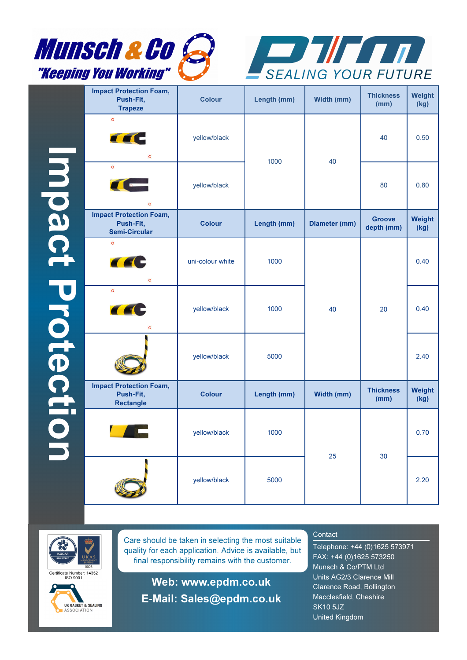



|                  | <b>Impact Protection Foam,</b><br>Push-Fit,<br><b>Trapeze</b>       | <b>Colour</b>    | Length (mm) | Width (mm)    | <b>Thickness</b><br>(mm)    | Weight<br>(kg) |
|------------------|---------------------------------------------------------------------|------------------|-------------|---------------|-----------------------------|----------------|
|                  | $\circ$<br><b>CEC</b><br>$\circ$                                    | yellow/black     | 1000        | 40            | 40                          | 0.50           |
| Impact Protectio | $\circ$<br><b>TELESCOPE</b><br>$\circ$                              | yellow/black     |             |               | 80                          | 0.80           |
|                  | <b>Impact Protection Foam,</b><br>Push-Fit,<br><b>Semi-Circular</b> | <b>Colour</b>    | Length (mm) | Diameter (mm) | <b>Groove</b><br>depth (mm) | Weight<br>(kg) |
|                  | $\circ$<br><b>CEC</b><br>$\circ$                                    | uni-colour white | 1000        |               |                             | 0.40           |
|                  | $\circ$<br><b>CEC</b><br>$\circ$                                    | yellow/black     | 1000        | 40            | 20                          | 0.40           |
|                  |                                                                     | yellow/black     | 5000        |               |                             | 2.40           |
|                  | <b>Impact Protection Foam,</b><br>Push-Fit,<br><b>Rectangle</b>     | <b>Colour</b>    | Length (mm) | Width (mm)    | <b>Thickness</b><br>(mm)    | Weight<br>(kg) |
|                  |                                                                     | yellow/black     | 1000        | 25            | 30                          | 0.70           |
|                  |                                                                     | yellow/black     | 5000        |               |                             | 2.20           |



Certificate Number: 14352



Care should be taken in selecting the most suitable quality for each application. Advice is available, but final responsibility remains with the customer.

Web: www.epdm.co.uk E**-**Mail: Sales@epdm.co.uk

# **Contact**